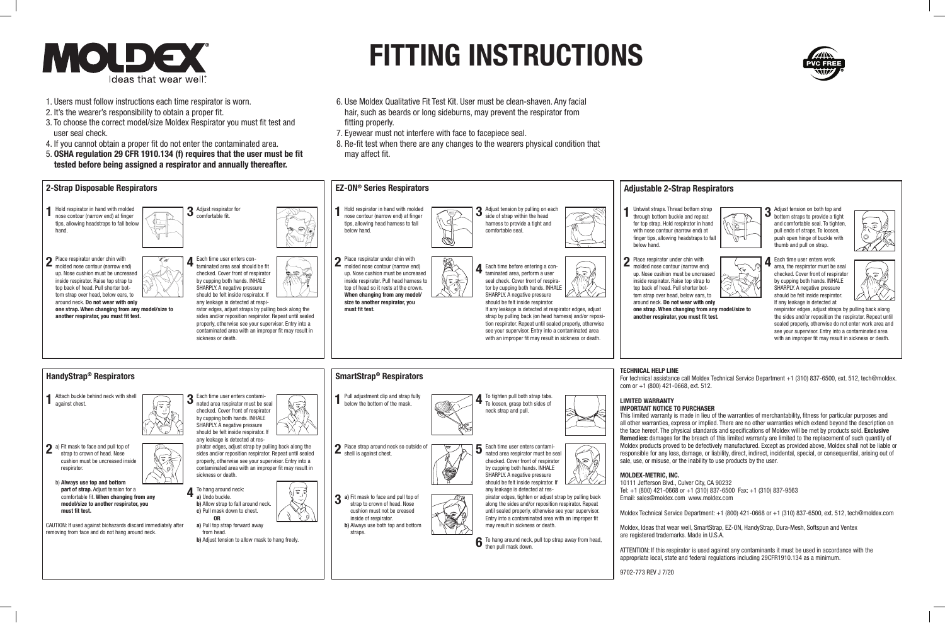

# **FITTING INSTRUCTIONS**

- 1. Users must follow instructions each time respirator is worn.
- 2. It's the wearer's responsibility to obtain a proper fit.
- 3. To choose the correct model/size Moldex Respirator you must fit test and user seal check.
- 4. If you cannot obtain a proper fit do not enter the contaminated area.
- 5. **OSHA regulation 29 CFR 1910.134 (f) requires that the user must be fit tested before being assigned a respirator and annually thereafter.**
- 6. Use Moldex Qualitative Fit Test Kit. User must be clean-shaven. Any facial hair, such as beards or long sideburns, may prevent the respirator from fitting properly.
- 7. Eyewear must not interfere with face to facepiece seal.
- 8. Re-fit test when there are any changes to the wearers physical condition that may affect fit.

- This limited warranty is made in lieu of the warranties of merchantability, fitness for particular purposes and all other warranties, express or implied. There are no other warranties which extend beyond the description on the face hereof. The physical standards and specifications of Moldex will be met by products sold. **Exclusive Remedies:** damages for the breach of this limited warranty are limited to the replacement of such quantity of Moldex products proved to be defectively manufactured. Except as provided above, Moldex shall not be liable or responsible for any loss, damage, or liability, direct, indirect, incidental, special, or consequential, arising out of sale, use, or misuse, or the inability to use products by the user.
- Tel: +1 (800) 421-0668 or +1 (310) 837-6500 Fax: +1 (310) 837-9563
- Moldex Technical Service Department: +1 (800) 421-0668 or +1 (310) 837-6500, ext. 512, tech@moldex.com
- Moldex, Ideas that wear well, SmartStrap, EZ-ON, HandyStrap, Dura-Mesh, Softspun and Ventex
- ATTENTION: If this respirator is used against any contaminants it must be used in accordance with the appropriate local, state and federal regulations including 29CFR1910.134 as a minimum.





- **3** Adjust tension on both top and bottom straps to provide a tight and comfortable seal. To tighten, pull ends of straps. To loosen, push open hinge of buckle with thumb and pull on strap.
- **4** Each time user enters work area, the respirator must be seal checked. Cover front of respirator by cupping both hands. INHALE SHARPLY. A negative pressure should be felt inside respirator. If any leakage is detected at
	- respirator edges, adjust straps by pulling back along the sides and/or reposition the respirator. Repeat until sealed properly, otherwise do not enter work area and

 $\overline{=}$ 

- see your supervisor. Entry into a contaminated area with an improper fit may result in sickness or death.
- For technical assistance call Moldex Technical Service Department +1 (310) 837-6500, ext. 512, tech@moldex.

- 
- 
- **one strap. When changing from any model/size to**

 $\overline{\mathbb{Q}}$